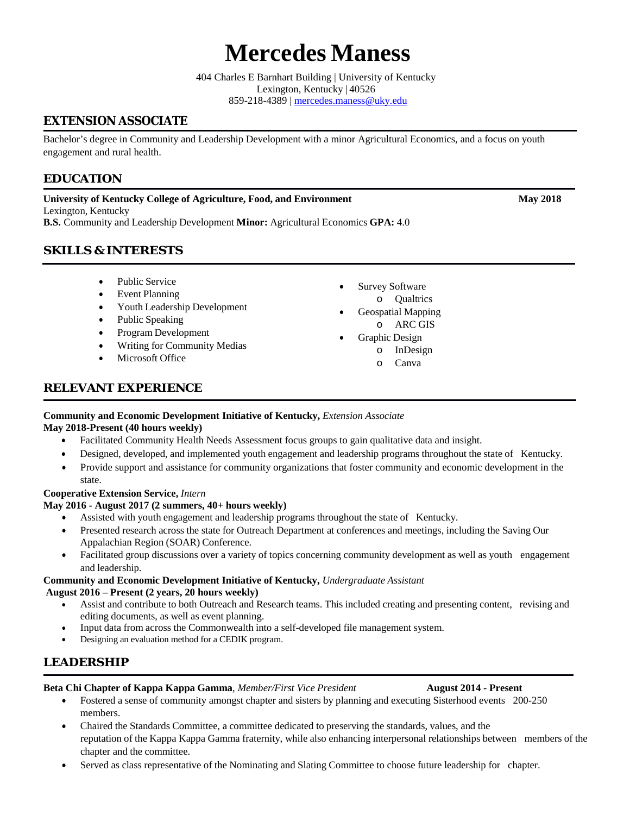# **Mercedes Maness**

404 Charles E Barnhart Building | University of Kentucky Lexington, Kentucky | 40526 859-218-4389 | [mercedes.maness@uky.edu](mailto:mercedes.maness@uky.edu)

# **EXTENSION ASSOCIATE**

Bachelor's degree in Community and Leadership Development with a minor Agricultural Economics, and a focus on youth engagement and rural health.

# **EDUCATION**

**University of Kentucky College of Agriculture, Food, and Environment May 2018** Lexington, Kentucky

**B.S.** Community and Leadership Development **Minor:** Agricultural Economics **GPA:** 4.0

# **SKILLS & INTERESTS**

- Public Service
- **Event Planning**
- Youth Leadership Development
- Public Speaking
- Program Development
- Writing for Community Medias
- Microsoft Office
- Survey Software o Qualtrics
- Geospatial Mapping o ARC GIS
	- Graphic Design
	- o InDesign
		- o Canva

# **RELEVANT EXPERIENCE**

#### **Community and Economic Development Initiative of Kentucky,** *Extension Associate*

#### **May 2018-Present (40 hours weekly)**

- Facilitated Community Health Needs Assessment focus groups to gain qualitative data and insight.
	- Designed, developed, and implemented youth engagement and leadership programs throughout the state of Kentucky.
- Provide support and assistance for community organizations that foster community and economic development in the state.

#### **Cooperative Extension Service,** *Intern*

#### **May 2016 - August 2017 (2 summers, 40+ hours weekly)**

- Assisted with youth engagement and leadership programs throughout the state of Kentucky.
- Presented research across the state for Outreach Department at conferences and meetings, including the Saving Our Appalachian Region (SOAR) Conference.
- Facilitated group discussions over a variety of topics concerning community development as well as youth engagement and leadership.

#### **Community and Economic Development Initiative of Kentucky,** *Undergraduate Assistant*

#### **August 2016 – Present (2 years, 20 hours weekly)**

- Assist and contribute to both Outreach and Research teams. This included creating and presenting content, revising and editing documents, as well as event planning.
- Input data from across the Commonwealth into a self-developed file management system.
- Designing an evaluation method for a CEDIK program.

# **LEADERSHIP**

#### **Beta Chi Chapter of Kappa Kappa Gamma**, *Member/First Vice President* **August 2014 - Present**

- Fostered a sense of community amongst chapter and sisters by planning and executing Sisterhood events 200-250 members.
- Chaired the Standards Committee, a committee dedicated to preserving the standards, values, and the reputation of the Kappa Kappa Gamma fraternity, while also enhancing interpersonal relationships between members of the chapter and the committee.
- Served as class representative of the Nominating and Slating Committee to choose future leadership for chapter.